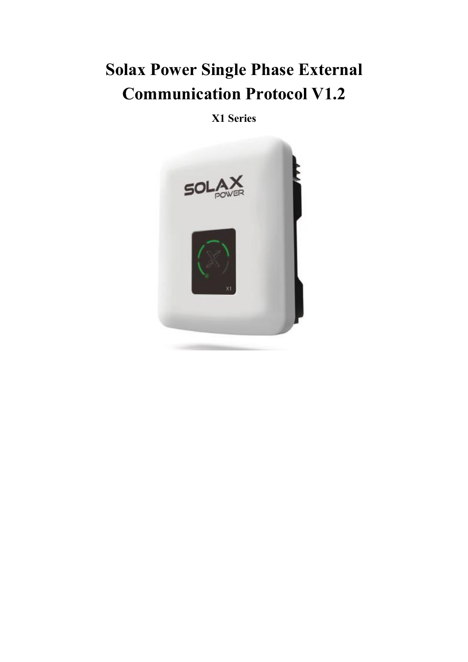# **Solax Power Single Phase External Communication Protocol V1.2**

**X1 Series**

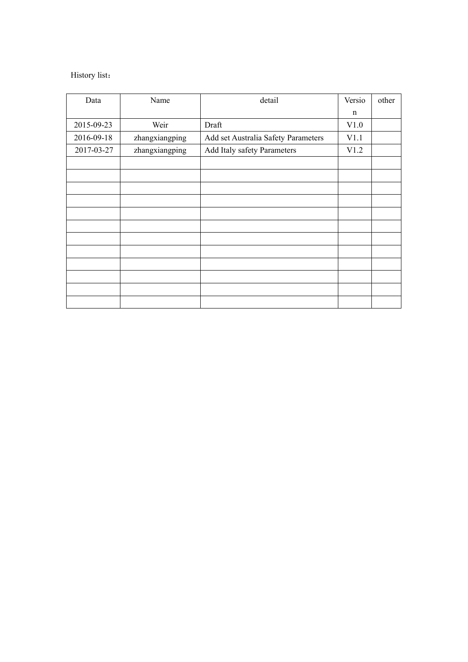## History list:

| Data       | Name           | detail                              | Versio      | other |
|------------|----------------|-------------------------------------|-------------|-------|
|            |                |                                     | $\mathbf n$ |       |
| 2015-09-23 | Weir           | Draft                               | V1.0        |       |
| 2016-09-18 | zhangxiangping | Add set Australia Safety Parameters | V1.1        |       |
| 2017-03-27 | zhangxiangping | Add Italy safety Parameters         | V1.2        |       |
|            |                |                                     |             |       |
|            |                |                                     |             |       |
|            |                |                                     |             |       |
|            |                |                                     |             |       |
|            |                |                                     |             |       |
|            |                |                                     |             |       |
|            |                |                                     |             |       |
|            |                |                                     |             |       |
|            |                |                                     |             |       |
|            |                |                                     |             |       |
|            |                |                                     |             |       |
|            |                |                                     |             |       |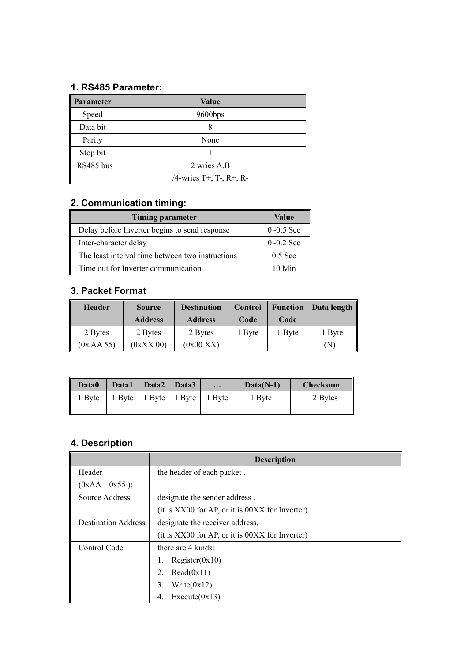## **1. RS485 Parameter:**

| Parameter | <b>Value</b>            |
|-----------|-------------------------|
| Speed     | 9600bps                 |
| Data bit  | ο                       |
| Parity    | None                    |
| Stop bit  |                         |
| RS485 bus | 2 wries A,B             |
|           | /4-wries T+, T-, R+, R- |

# **2. Communication timing:**

| <b>Timing parameter</b>                          | Value         |
|--------------------------------------------------|---------------|
| Delay before Inverter begins to send response    | $0 - 0.5$ Sec |
| Inter-character delay                            | $0 - 0.2$ Sec |
| The least interval time between two instructions | $0.5$ Sec     |
| Time out for Inverter communication              | $10$ Min      |

## **3. Packet Format**

| <b>Header</b> | <b>Source</b>  | <b>Destination</b> | Control | <b>Function</b> | Data length    |
|---------------|----------------|--------------------|---------|-----------------|----------------|
|               | <b>Address</b> | <b>Address</b>     | Code    | Code            |                |
| 2 Bytes       | 2 Bytes        | 2 Bytes            | Byte    | 1 Byte          | 1 Byte         |
| (0x AA 55)    | $(0xXX\ 00)$   | (0x00 XX)          |         |                 | $(\mathrm{N})$ |

| Data0  | Data1            | Data2 | Data3                    | $\cdots$ | $Data(N-1)$       | <b>Checksum</b> |  |
|--------|------------------|-------|--------------------------|----------|-------------------|-----------------|--|
| 1 Byte | $1$ Byte $\vert$ |       | 1 Byte   1 Byte   1 Byte |          | <sub>1</sub> Byte | 2 Bytes         |  |

# **4. Description**

|                            | <b>Description</b>                              |
|----------------------------|-------------------------------------------------|
| Header                     | the header of each packet.                      |
| $0x55$ ):<br>(0xAA)        |                                                 |
| Source Address             | designate the sender address.                   |
|                            | (it is XX00 for AP, or it is 00XX for Inverter) |
| <b>Destination Address</b> | designate the receiver address.                 |
|                            | (it is XX00 for AP, or it is 00XX for Inverter) |
| Control Code               | there are 4 kinds:                              |
|                            | Resister(0x10)<br>1.                            |
|                            | Read(0x11)<br>2.                                |
|                            | Write $(0x12)$<br>3.                            |
|                            | Execute(0x13)<br>4.                             |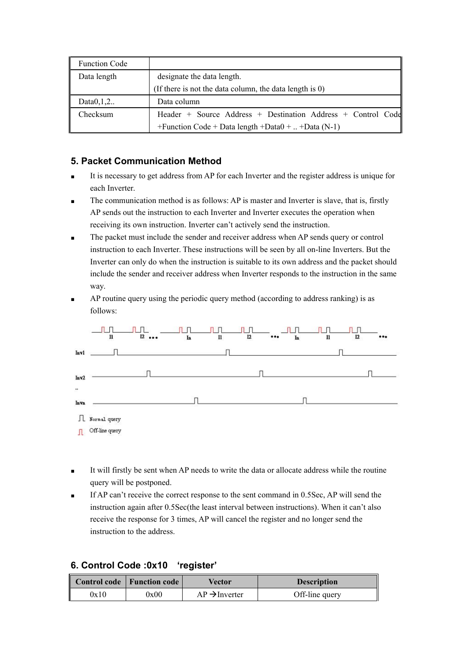| <b>Function Code</b> |                                                              |
|----------------------|--------------------------------------------------------------|
| Data length          | designate the data length.                                   |
|                      | (If there is not the data column, the data length is $0$ )   |
| Data $0,1,2$         | Data column                                                  |
| Checksum             | Header + Source Address + Destination Address + Control Code |
|                      | +Function Code + Data length + Data $0 +  +$ Data (N-1)      |

## **5. Packet Communication Method**

- It is necessary to get address from AP for each Inverter and the register address is unique for each Inverter.
- The communication method is as follows: AP is master and Inverter is slave, that is, firstly AP sends out the instruction to each Inverter and Inverter executes the operation when receiving its own instruction. Inverter can't actively send the instruction.
- The packet must include the sender and receiver address when AP sends query or control instruction to each Inverter. These instructions will be seen by all on-line Inverters. But the Inverter can only do when the instruction is suitable to its own address and the packet should include the sender and receiver address when Inverter responds to the instruction in the same way.
- AP routine query using the periodic query method (according to address ranking) is as follows:



- It will firstly be sent when AP needs to write the data or allocate address while the routine query will be postponed.
- If AP can't receive the correct response to the sent command in 0.5Sec, AP will send the instruction again after 0.5Sec(the least interval between instructions). When it can't also receive the response for 3 times, AP will cancel the register and no longer send the instruction to the address.

| 6. Control Code :0x10 'register' |  |
|----------------------------------|--|
|----------------------------------|--|

|      | $\parallel$ Control code $\parallel$ Function code $\parallel$ | Vector                    | <b>Description</b> |
|------|----------------------------------------------------------------|---------------------------|--------------------|
| 0x10 | 0x00                                                           | $AP \rightarrow Inverter$ | Off-line query     |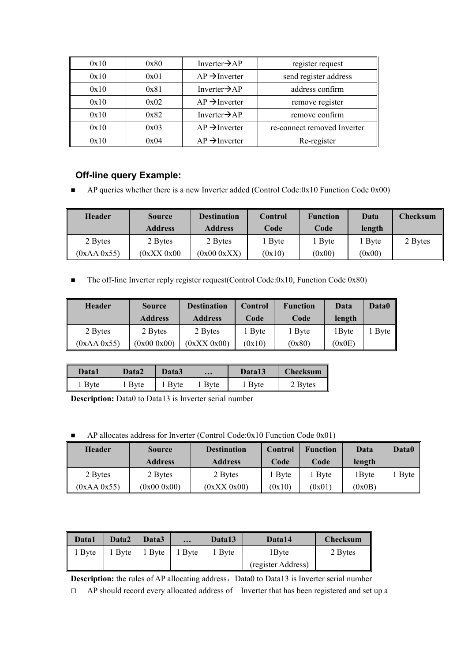| 0x10 | 0x80 | Inverter $\rightarrow$ AP                                | register request |
|------|------|----------------------------------------------------------|------------------|
| 0x10 | 0x01 | $AP \rightarrow Inverter$<br>send register address       |                  |
| 0x10 | 0x81 | Inverter $\rightarrow$ AP<br>address confirm             |                  |
| 0x10 | 0x02 | $AP \rightarrow Inverter$                                | remove register  |
| 0x10 | 0x82 | Inverter $\rightarrow$ AP<br>remove confirm              |                  |
| 0x10 | 0x03 | $AP \rightarrow Inverter$<br>re-connect removed Inverter |                  |
| 0x10 | 0x04 | $AP \rightarrow Inverter$<br>Re-register                 |                  |

## **Off-line query Example:**

■ AP queries whether there is a new Inverter added (Control Code:0x10 Function Code 0x00)

| <b>Header</b> | <b>Source</b>  | <b>Destination</b> | Control | <b>Function</b> | Data   | <b>Checksum</b> |
|---------------|----------------|--------------------|---------|-----------------|--------|-----------------|
|               | <b>Address</b> | <b>Address</b>     | Code    | Code            | length |                 |
| 2 Bytes       | 2 Bytes        | 2 Bytes            | Byte    | Byte            | Byte   | 2 Bytes         |
| (0xAA0x55)    | (0xXX 0x00)    | (0x000xXX)         | (0x10)  | (0x00)          | (0x00) |                 |

The off-line Inverter reply register request(Control Code: $0x10$ , Function Code  $0x80$ )

| <b>Header</b> | <b>Source</b>  | <b>Destination</b> | <b>Control</b> | <b>Function</b> | Data   | <b>Data0</b> |
|---------------|----------------|--------------------|----------------|-----------------|--------|--------------|
|               | <b>Address</b> | <b>Address</b>     | Code           | Code            | length |              |
| 2 Bytes       | 2 Bytes        | 2 Bytes            | Byte           | 1 Byte          | l Bvte | Byte         |
| (0xAA 0x55)   | (0x000x00)     | (0xXX 0x00)        | (0x10)         | (0x80)          | (0x0E) |              |

| Data1  | Data2  | Data3 | $\cdots$     | Data13 | <b>Checksum</b> |
|--------|--------|-------|--------------|--------|-----------------|
| 1 Byte | 1 Byte | Byte  | <b>B</b> vte | Bvte   | 2 Bytes         |

**Description:** Data0 to Data13 is Inverter serial number

 $\blacksquare$  AP allocates address for Inverter (Control Code:0x10 Function Code 0x01)

| <b>Header</b> | <b>Source</b>  | <b>Destination</b> | Control      | <b>Function</b> | Data   | Data0 |
|---------------|----------------|--------------------|--------------|-----------------|--------|-------|
|               | <b>Address</b> | <b>Address</b>     | Code         | Code            | length |       |
| 2 Bytes       | 2 Bytes        | 2 Bytes            | <b>B</b> vte | <b>B</b> vte    | 1 Byte | Byte  |
| (0xAA 0x55)   | (0x000x00)     | (0xXX 0x00)        | (0x10)       | (0x01)          | (0x0B) |       |

| Data1 | Data2 | Data3       | $\bullet\bullet\bullet$ | Data13      | Data14             | Checksum |
|-------|-------|-------------|-------------------------|-------------|--------------------|----------|
| Byte  | Byte  | <b>Byte</b> | Byte                    | <b>Byte</b> | 1Byte              | 2 Bytes  |
|       |       |             |                         |             | (register Address) |          |

**Description:** the rules of AP allocating address, Data0 to Data13 is Inverter serial number

 $\Box$  AP should record every allocated address of Inverter that has been registered and set up a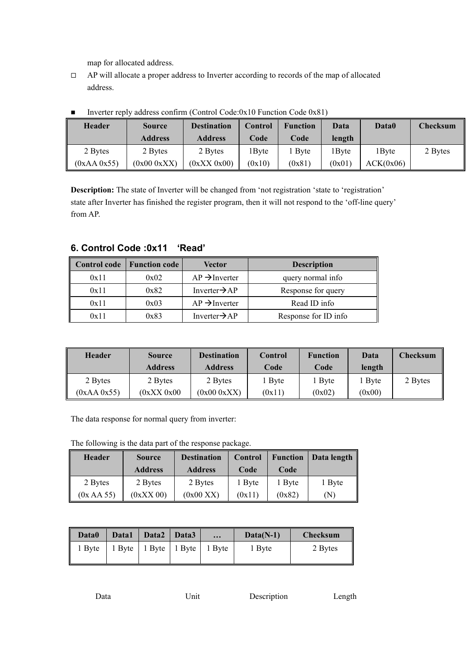map for allocated address.

 $\Box$  AP will allocate a proper address to Inverter according to records of the map of allocated address.

| <b>Header</b> | <b>Source</b>  | <b>Destination</b> | Control           | <b>Function</b> | <b>Data</b>       | Data0     | <b>Checksum</b> |
|---------------|----------------|--------------------|-------------------|-----------------|-------------------|-----------|-----------------|
|               | <b>Address</b> | <b>Address</b>     | Code              | Code            | length            |           |                 |
| 2 Bytes       | 2 Bytes        | 2 Bytes            | <sup>1</sup> Byte | Byte            | <sup>1</sup> Byte | 1 Byte    | 2 Bytes         |
| (0xAA 0x55)   | (0x000xXX)     | (0xXX 0x00)        | (0x10)            | (0x81)          | (0x01)            | ACK(0x06) |                 |

Inverter reply address confirm (Control Code: $0x10$  Function Code  $0x81$ )

**Description:** The state of Inverter will be changed from 'not registration 'state to 'registration' state after Inverter has finished the register program, then it will not respond to the 'off-line query' from AP.

|      | Control code   Function code | Vector                    | <b>Description</b>   |
|------|------------------------------|---------------------------|----------------------|
| 0x11 | 0x02                         | $AP \rightarrow Inverter$ | query normal info    |
| 0x11 | 0x82                         | Inverter $\rightarrow$ AP | Response for query   |
| 0x11 | 0x03                         | $AP \rightarrow$ Inverter | Read ID info         |
| 0x11 | 0x83                         | Inverter $\rightarrow$ AP | Response for ID info |

#### **6. Control Code :0x11 'Read'**

| Header      | <b>Source</b>  | <b>Destination</b> | <b>Control</b> | <b>Function</b> | Data   | <b>Checksum</b> |
|-------------|----------------|--------------------|----------------|-----------------|--------|-----------------|
|             | <b>Address</b> | <b>Address</b>     | Code           | Code            | length |                 |
| 2 Bytes     | 2 Bytes        | 2 Bytes            | <b>Byte</b>    | Byte            | Byte   | 2 Bytes         |
| (0xAA 0x55) | (0xXX 0x00)    | (0x000xXX)         | (0x11)         | (0x02)          | (0x00) |                 |

The data response for normal query from inverter:

The following is the data part of the response package.

| <b>Header</b> | <b>Source</b>  | <b>Destination</b> | Control | <b>Function</b> | Data length                |
|---------------|----------------|--------------------|---------|-----------------|----------------------------|
|               | <b>Address</b> | <b>Address</b>     | Code    | Code            |                            |
| 2 Bytes       | 2 Bytes        | 2 Bytes            | 1 Byte  | <b>B</b> vte    | 1 Byte                     |
| (0x AA 55)    | $(0xXX\ 00)$   | (0x00 XX)          | (0x11)  | (0x82)          | $\left( \mathrm{N}\right)$ |

| Data0  | Data1                  | Data2   Data3 | $\cdots$                                     | $Data(N-1)$ | <b>Checksum</b> |
|--------|------------------------|---------------|----------------------------------------------|-------------|-----------------|
| 1 Byte | $\vert$ 1 Byte $\vert$ |               | $\vert$ 1 Byte $\vert$ 1 Byte $\vert$ 1 Byte | 1 Byte      | 2 Bytes         |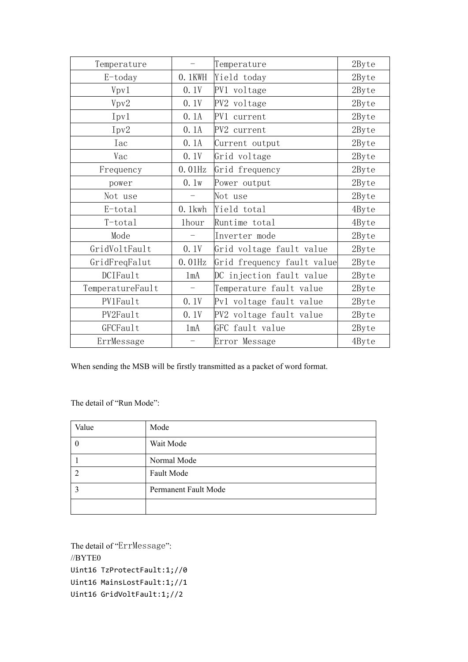| Temperature      |                          | Temperature                | 2Byte |
|------------------|--------------------------|----------------------------|-------|
| $E$ -today       | 0.1KWH                   | Yield today                | 2Byte |
| Vpv1             | 0.1V                     | PV1 voltage                | 2Byte |
| Vpv2             | 0.1V                     | PV2 voltage                | 2Byte |
| Ipv1             | 0.1A                     | PV1 current                | 2Byte |
| Ipv2             | 0.1A                     | PV2 current                | 2Byte |
| Iac              | 0.1A                     | Current output             | 2Byte |
| Vac              | 0.1V                     | Grid voltage               | 2Byte |
| Frequency        | $0.01$ Hz                | Grid frequency             | 2Byte |
| power            | 0.1w                     | Power output               | 2Byte |
| Not use          | $\overline{\phantom{0}}$ | Not use                    | 2Byte |
| E-total          | $0.1$ kwh                | Yield total                | 4Byte |
| T-total          | 1hour                    | Runtime total              | 4Byte |
| Mode             | $\qquad \qquad -$        | Inverter mode              | 2Byte |
| GridVoltFault    | 0.1V                     | Grid voltage fault value   | 2Byte |
| GridFreqFalut    | $0.01$ Hz                | Grid frequency fault value | 2Byte |
| DCIFault         | 1mA                      | DC injection fault value   | 2Byte |
| TemperatureFault | $\overline{\phantom{m}}$ | Temperature fault value    | 2Byte |
| PV1Fault         | 0.1V                     | Pv1 voltage fault value    | 2Byte |
| PV2Fault         | 0.1V                     | PV2 voltage fault value    | 2Byte |
| GFCFault         | 1 <sub>m</sub> A         | GFC fault value            | 2Byte |
| ErrMessage       | $\overline{\phantom{0}}$ | Error Message              | 4Byte |

When sending the MSB will be firstly transmitted as a packet of word format.

The detail of "Run Mode":

| Value | Mode                 |
|-------|----------------------|
|       | Wait Mode            |
|       | Normal Mode          |
|       | Fault Mode           |
|       | Permanent Fault Mode |
|       |                      |

The detail of "ErrMessage": //BYTE0 Uint16 TzProtectFault:1;//0 Uint16 MainsLostFault:1;//1 Uint16 GridVoltFault:1;//2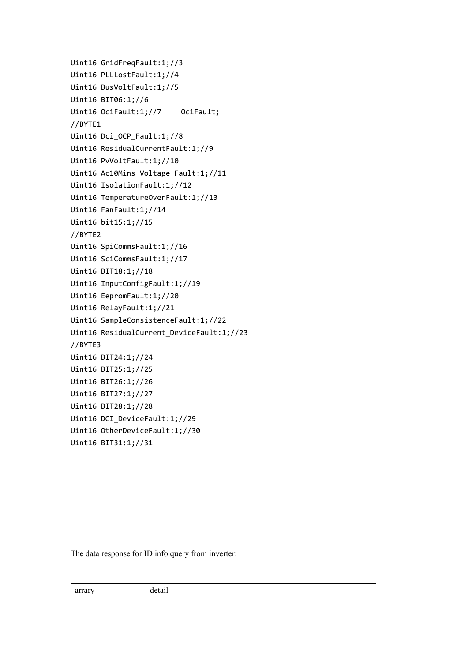```
Uint16 GridFreqFault:1;//3
Uint16 PLLLostFault:1;//4
Uint16 BusVoltFault:1;//5
Uint16 BIT06:1;//6
Uint16 OciFault:1;//7 OciFault;
//BYTE1
Uint16 Dci_OCP_Fault:1;//8
Uint16 ResidualCurrentFault:1;//9
Uint16 PvVoltFault:1;//10
Uint16 Ac10Mins_Voltage_Fault:1;//11
Uint16 IsolationFault:1;//12
Uint16 TemperatureOverFault:1;//13
Uint16 FanFault:1;//14
Uint16 bit15:1;//15
//BYTE2
Uint16 SpiCommsFault:1;//16
Uint16 SciCommsFault:1;//17
Uint16 BIT18:1;//18
Uint16 InputConfigFault:1;//19
Uint16 EepromFault:1;//20
Uint16 RelayFault:1;//21
Uint16 SampleConsistenceFault:1;//22
Uint16 ResidualCurrent_DeviceFault:1;//23
//BYTE3
Uint16 BIT24:1;//24
Uint16 BIT25:1;//25
Uint16 BIT26:1;//26
Uint16 BIT27:1;//27
Uint16 BIT28:1;//28
Uint16 DCI_DeviceFault:1;//29
Uint16 OtherDeviceFault:1;//30
Uint16 BIT31:1;//31
```
The data response for ID info query from inverter:

| arrary | detail |
|--------|--------|
|--------|--------|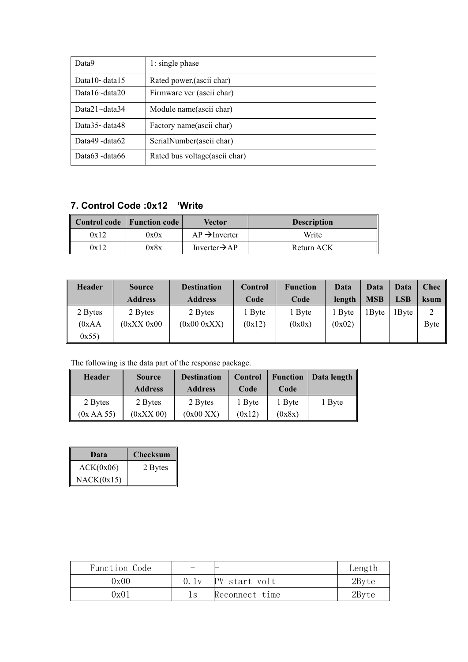| Data9                | 1: single phase                |
|----------------------|--------------------------------|
| Data10 $\sim$ data15 | Rated power, (ascii char)      |
| Data16 $\sim$ data20 | Firmware ver (ascii char)      |
| Data $21$ ~data $34$ | Module name(ascii char)        |
| Data $35$ ~data $48$ | Factory name(ascii char)       |
| Data49 $\sim$ data62 | SerialNumber(ascii char)       |
| Data $63$ ~data $66$ | Rated bus voltage (ascii char) |

## **7. Control Code :0x12 'Write**

|      | Control code   Function code | Vector                    | <b>Description</b> |
|------|------------------------------|---------------------------|--------------------|
| 0x12 | 0x0x                         | $AP \rightarrow$ Inverter | Write              |
| 0x12 | 0x8x                         | Inverter $\rightarrow$ AP | Return ACK         |

| Header  | Source         | <b>Destination</b> | Control     | <b>Function</b> | Data   | Data       | Data       | <b>Chec</b> |
|---------|----------------|--------------------|-------------|-----------------|--------|------------|------------|-------------|
|         | <b>Address</b> | <b>Address</b>     | Code        | Code            | length | <b>MSB</b> | <b>LSB</b> | ksum        |
| 2 Bytes | 2 Bytes        | 2 Bytes            | <b>Byte</b> | Byte            | Byte   | $1$ Byte   | 1 Byte     | $\sim$<br>∠ |
| (0xAA)  | (0xXX 0x00)    | (0x000xXX)         | (0x12)      | (0x0x)          | (0x02) |            |            | Byte        |
| 0x55    |                |                    |             |                 |        |            |            |             |

The following is the data part of the response package.

| <b>Header</b> | <b>Source</b>  | <b>Destination</b><br>Control |        | <b>Function</b> | Data length |
|---------------|----------------|-------------------------------|--------|-----------------|-------------|
|               | <b>Address</b> | <b>Address</b>                | Code   | Code            |             |
| 2 Bytes       | 2 Bytes        | 2 Bytes                       | 1 Byte | <b>B</b> vte    | i Byte      |
| (0x AA 55)    | $(0xXX\ 00)$   | (0x00 XX)                     | (0x12) | (0x8x)          |             |

| Data       | <b>Checksum</b> |
|------------|-----------------|
| ACK(0x06)  | 2 Bytes         |
| NACK(0x15) |                 |

| Function Code | -    |                | Length |
|---------------|------|----------------|--------|
| 0x00          | 0.1v | PV start volt  | 2Byte  |
| 0x01          |      | Reconnect time | 2Byte  |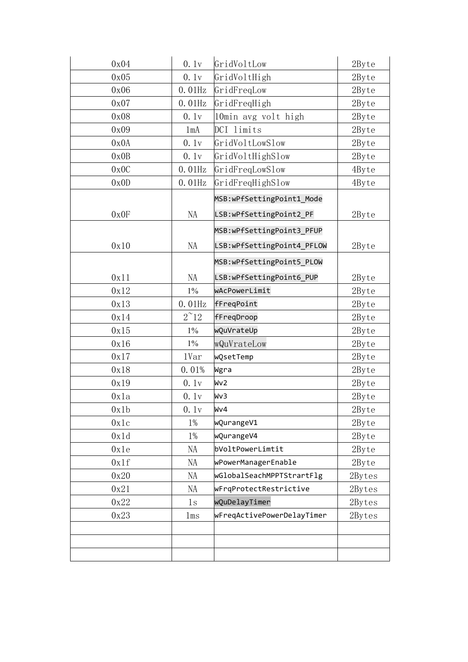| 0x04 | 0.1v            | GridVoltLow                | 2Byte  |
|------|-----------------|----------------------------|--------|
| 0x05 | 0.1v            | GridVoltHigh               | 2Byte  |
| 0x06 | $0.01$ Hz       | GridFreqLow                | 2Byte  |
| 0x07 | $0.01$ Hz       | GridFreqHigh               | 2Byte  |
| 0x08 | 0.1v            | 10min avg volt high        | 2Byte  |
| 0x09 | 1 <sub>mA</sub> | DCI limits                 | 2Byte  |
| 0x0A | 0.1v            | GridVoltLowSlow            | 2Byte  |
| 0x0B | 0.1v            | GridVoltHighSlow           | 2Byte  |
| 0x0C | $0.01$ Hz       | GridFreqLowSlow            | 4Byte  |
| 0x0D | $0.01$ Hz       | GridFreqHighSlow           | 4Byte  |
|      |                 | MSB:wPfSettingPoint1_Mode  |        |
| 0x0F | NA              | LSB:wPfSettingPoint2 PF    | 2Byte  |
|      |                 | MSB:wPfSettingPoint3 PFUP  |        |
| 0x10 | NA              | LSB:wPfSettingPoint4_PFLOW | 2Byte  |
|      |                 | MSB:wPfSettingPoint5 PLOW  |        |
| 0x11 | NA              | LSB:wPfSettingPoint6 PUP   | 2Byte  |
| 0x12 | $1\%$           | wAcPowerLimit              | 2Byte  |
| 0x13 | $0.01$ Hz       | fFreqPoint                 | 2Byte  |
| 0x14 | $2^{\sim}12$    | fFreqDroop                 | 2Byte  |
| 0x15 | $1\%$           | wQuVrateUp                 | 2Byte  |
| 0x16 | $1\%$           | wQuVrateLow                | 2Byte  |
| 0x17 | 1Var            | wQsetTemp                  | 2Byte  |
| 0x18 | 0.01%           | Wgra                       | 2Byte  |
| 0x19 | 0.1v            | Wv <sub>2</sub>            | 2Byte  |
| 0x1a | 0.1v            | Wv3                        | 2Byte  |
| 0x1b | 0.1v            | Wv4                        | 2Byte  |
| 0x1c | $1\%$           | wQurangeV1                 | 2Byte  |
| 0x1d | $1\%$           | wQurangeV4                 | 2Byte  |
| 0x1e | NA              | bVoltPowerLimtit           | 2Byte  |
| 0x1f | NA              | wPowerManagerEnable        | 2Byte  |
| 0x20 | NA              | wGlobalSeachMPPTStrartFlg  | 2Bytes |
| 0x21 | NA              | wFrqProtectRestrictive     | 2Bytes |
| 0x22 | 1s              | wQuDelayTimer              | 2Bytes |
| 0x23 | 1ms             | wFreqActivePowerDelayTimer | 2Bytes |
|      |                 |                            |        |
|      |                 |                            |        |
|      |                 |                            |        |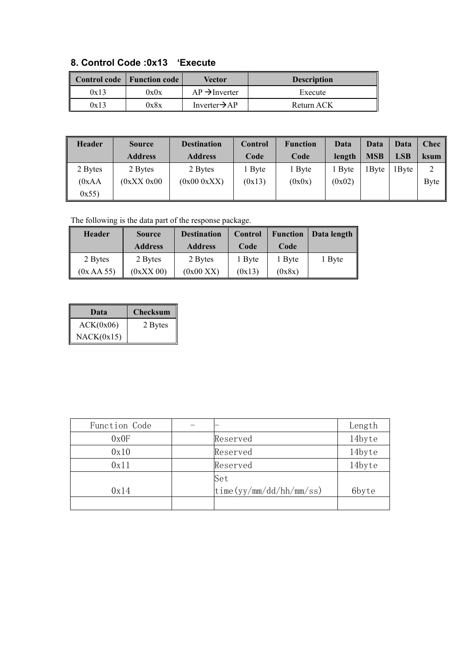|--|

|      | Control code   Function code | Vector                    | <b>Description</b> |
|------|------------------------------|---------------------------|--------------------|
| 0x13 | 0x0x                         | $AP \rightarrow$ Inverter | Execute            |
| 0x13 | 0x8x                         | Inverter $\rightarrow$ AP | Return ACK         |

| <b>Header</b> | <b>Source</b>  | <b>Destination</b> | Control | <b>Function</b> | Data        | Data       | Data       | <b>Chec</b>    |
|---------------|----------------|--------------------|---------|-----------------|-------------|------------|------------|----------------|
|               | <b>Address</b> | <b>Address</b>     | Code    | Code            | length      | <b>MSB</b> | <b>LSB</b> | <b>ksum</b>    |
| 2 Bytes       | 2 Bytes        | 2 Bytes            | Byte    | Byte            | <b>Byte</b> | 1 Byte     | 1 Byte     | $\bigcap$<br>∠ |
| (0xAA)        | (0xXX 0x00     | (0x000xXX)         | (0x13)  | (0x0x)          | (0x02)      |            |            | Byte           |
| 0x55)         |                |                    |         |                 |             |            |            |                |

The following is the data part of the response package.

| <b>Header</b> | <b>Source</b>  | <b>Destination</b> | Control | <b>Function</b> | Data length |
|---------------|----------------|--------------------|---------|-----------------|-------------|
|               | <b>Address</b> | <b>Address</b>     | Code    | Code            |             |
| 2 Bytes       | 2 Bytes        | 2 Bytes            | Byte    | 1 Byte          | 1 Byte      |
| (0x AA 55)    | $(0xXX\ 00)$   | (0x00 XX)          | (0x13)  | (0x8x)          |             |

| Data       | <b>Checksum</b> |
|------------|-----------------|
| ACK(0x06)  | 2 Bytes         |
| NACK(0x15) |                 |

| Function Code |                                                                                                           | Length |
|---------------|-----------------------------------------------------------------------------------------------------------|--------|
| 0x0F          | Reserved                                                                                                  | 14byte |
| 0x10          | Reserved                                                                                                  | 14byte |
| 0x11          | Reserved                                                                                                  | 14byte |
|               | Set                                                                                                       |        |
| 0x14          | $\frac{\text{time} (yy/mm / \text{dd}/\text{hh}/\text{mm}/\text{ss})}{\text{dm} / \text{dm} / \text{mm}}$ | 6byte  |
|               |                                                                                                           |        |